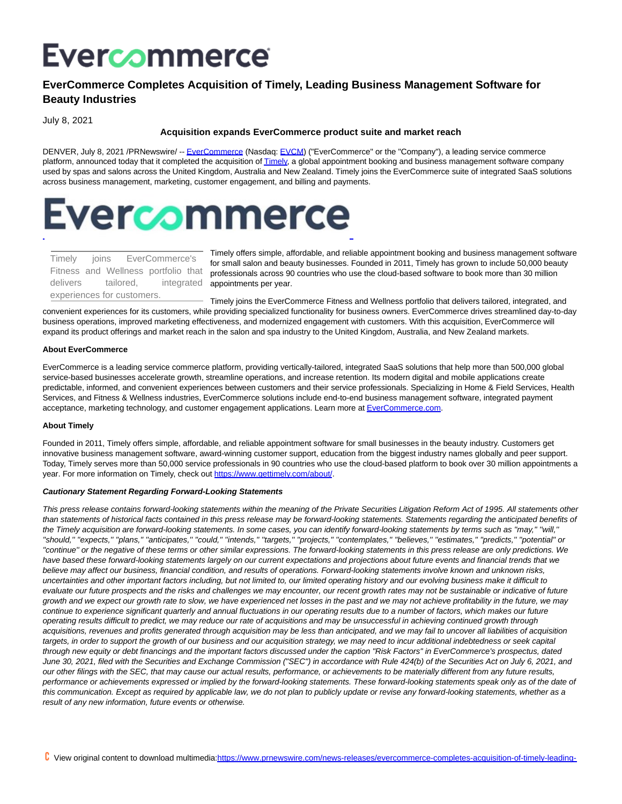# Evercommerce

## **EverCommerce Completes Acquisition of Timely, Leading Business Management Software for Beauty Industries**

July 8, 2021

#### **Acquisition expands EverCommerce product suite and market reach**

DENVER, July 8, 2021 /PRNewswire/ -- [EverCommerce \(](https://c212.net/c/link/?t=0&l=en&o=3221108-1&h=2699020770&u=https%3A%2F%2Fcts.businesswire.com%2Fct%2FCT%3Fid%3Dsmartlink%26url%3Dhttp%253A%252F%252Fwww.evercommerce.com%252F%26esheet%3D52430552%26newsitemid%3D20210517005853%26lan%3Den-US%26anchor%3DEverCommerce%26index%3D1%26md5%3D8d580f980df4a026167d620fae40453d&a=EverCommerce)Nasdaq: [EVCM\)](https://c212.net/c/link/?t=0&l=en&o=3221108-1&h=701449126&u=https%3A%2F%2Fwww.nasdaq.com%2Fmarket-activity%2Fstocks%2Fevcm&a=EVCM) ("EverCommerce" or the "Company"), a leading service commerce platform, announced today that it completed the acquisition o[f Timely,](https://c212.net/c/link/?t=0&l=en&o=3221108-1&h=1348290650&u=https%3A%2F%2Fcts.businesswire.com%2Fct%2FCT%3Fid%3Dsmartlink%26url%3Dhttps%253A%252F%252Fwww.gettimely.com%252F%26esheet%3D52430552%26newsitemid%3D20210517005853%26lan%3Den-US%26anchor%3DTimely%26index%3D2%26md5%3Ded7930b98db6f83c0a908ed1e179afa8&a=Timely) a global appointment booking and business management software company used by spas and salons across the United Kingdom, Australia and New Zealand. Timely joins the EverCommerce suite of integrated SaaS solutions across business management, marketing, customer engagement, and billing and payments.

# **Evercommerce** L

| Timely joins               |  |  |           | EverCommerce's                      |  |  |
|----------------------------|--|--|-----------|-------------------------------------|--|--|
|                            |  |  |           | Fitness and Wellness portfolio that |  |  |
| delivers                   |  |  | tailored. | integrated                          |  |  |
| experiences for customers. |  |  |           |                                     |  |  |

Timely offers simple, affordable, and reliable appointment booking and business management software for small salon and beauty businesses. Founded in 2011, Timely has grown to include 50,000 beauty professionals across 90 countries who use the cloud-based software to book more than 30 million appointments per year.

Timely joins the EverCommerce Fitness and Wellness portfolio that delivers tailored, integrated, and convenient experiences for its customers, while providing specialized functionality for business owners. EverCommerce drives streamlined day-to-day business operations, improved marketing effectiveness, and modernized engagement with customers. With this acquisition, EverCommerce will expand its product offerings and market reach in the salon and spa industry to the United Kingdom, Australia, and New Zealand markets.

#### **About EverCommerce**

EverCommerce is a leading service commerce platform, providing vertically-tailored, integrated SaaS solutions that help more than 500,000 global service-based businesses accelerate growth, streamline operations, and increase retention. Its modern digital and mobile applications create predictable, informed, and convenient experiences between customers and their service professionals. Specializing in Home & Field Services, Health Services, and Fitness & Wellness industries, EverCommerce solutions include end-to-end business management software, integrated payment acceptance, marketing technology, and customer engagement applications. Learn more a[t EverCommerce.com.](https://c212.net/c/link/?t=0&l=en&o=3221108-1&h=4241456476&u=https%3A%2F%2Fcts.businesswire.com%2Fct%2FCT%3Fid%3Dsmartlink%26url%3Dhttps%253A%252F%252Fc212.net%252Fc%252Flink%252F%253Ft%253D0%2526l%253Den%2526o%253D3046952-1%2526h%253D4199196310%2526u%253Dhttps%25253A%25252F%25252Fc212.net%25252Fc%25252Flink%25252F%25253Ft%25253D0%252526l%25253Den%252526o%25253D3000795-1%252526h%25253D3164463685%252526u%25253Dhttps%2525253A%2525252F%2525252Fwww.evercommerce.com%2525252F%252526a%25253DEverCommerce.com%2526a%253DEverCommerce.com%26esheet%3D52430552%26newsitemid%3D20210517005853%26lan%3Den-US%26anchor%3DEverCommerce.com%26index%3D3%26md5%3D30f85b88f1adb5395cc32bb0301da556&a=EverCommerce.com)

#### **About Timely**

Founded in 2011, Timely offers simple, affordable, and reliable appointment software for small businesses in the beauty industry. Customers get innovative business management software, award-winning customer support, education from the biggest industry names globally and peer support. Today, Timely serves more than 50,000 service professionals in 90 countries who use the cloud-based platform to book over 30 million appointments a year. For more information on Timely, check out [https://www.gettimely.com/about/.](https://c212.net/c/link/?t=0&l=en&o=3221108-1&h=2394128667&u=https%3A%2F%2Fcts.businesswire.com%2Fct%2FCT%3Fid%3Dsmartlink%26url%3Dhttps%253A%252F%252Fwww.gettimely.com%252Fabout%252F%26esheet%3D52430552%26newsitemid%3D20210517005853%26lan%3Den-US%26anchor%3Dhttps%253A%252F%252Fwww.gettimely.com%252Fabout%252F%26index%3D4%26md5%3Def79f79570da9abdc73c610a6928c9ea&a=https%3A%2F%2Fwww.gettimely.com%2Fabout%2F)

#### **Cautionary Statement Regarding Forward-Looking Statements**

This press release contains forward-looking statements within the meaning of the Private Securities Litigation Reform Act of 1995. All statements other than statements of historical facts contained in this press release may be forward-looking statements. Statements regarding the anticipated benefits of the Timely acquisition are forward-looking statements. In some cases, you can identify forward-looking statements by terms such as ''may,'' ''will,'' ''should,'' ''expects,'' ''plans,'' ''anticipates,'' ''could,'' ''intends,'' ''targets,'' ''projects,'' ''contemplates,'' ''believes,'' ''estimates,'' ''predicts,'' ''potential'' or ''continue'' or the negative of these terms or other similar expressions. The forward-looking statements in this press release are only predictions. We have based these forward-looking statements largely on our current expectations and projections about future events and financial trends that we believe may affect our business, financial condition, and results of operations. Forward-looking statements involve known and unknown risks, uncertainties and other important factors including, but not limited to, our limited operating history and our evolving business make it difficult to evaluate our future prospects and the risks and challenges we may encounter, our recent growth rates may not be sustainable or indicative of future growth and we expect our growth rate to slow, we have experienced net losses in the past and we may not achieve profitability in the future, we may continue to experience significant quarterly and annual fluctuations in our operating results due to a number of factors, which makes our future operating results difficult to predict, we may reduce our rate of acquisitions and may be unsuccessful in achieving continued growth through acquisitions, revenues and profits generated through acquisition may be less than anticipated, and we may fail to uncover all liabilities of acquisition targets, in order to support the growth of our business and our acquisition strategy, we may need to incur additional indebtedness or seek capital through new equity or debt financings and the important factors discussed under the caption "Risk Factors" in EverCommerce's prospectus, dated June 30, 2021, filed with the Securities and Exchange Commission ("SEC") in accordance with Rule 424(b) of the Securities Act on July 6, 2021, and our other filings with the SEC, that may cause our actual results, performance, or achievements to be materially different from any future results, performance or achievements expressed or implied by the forward-looking statements. These forward-looking statements speak only as of the date of this communication. Except as required by applicable law, we do not plan to publicly update or revise any forward-looking statements, whether as a result of any new information, future events or otherwise.